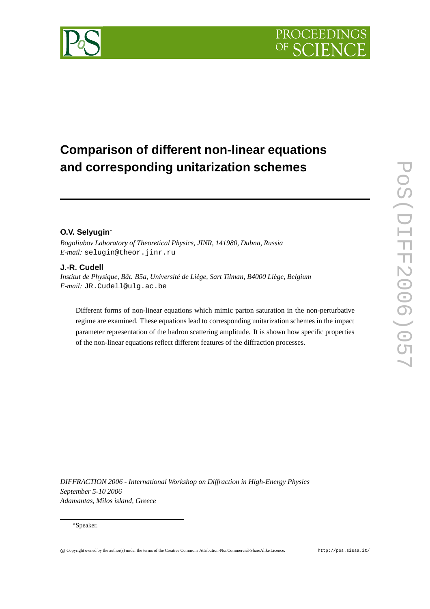

# **Comparison of different non-linear equations and corresponding unitarization schemes**

## **O.V. Selyugin**

*Bogoliubov Laboratory of Theoretical Physics, JINR, 141980, Dubna, Russia E-mail:* selugin@theor.jinr.ru

## **J.-R. Cudell**

*Institut de Physique, Bât. B5a, Université de Liège, Sart Tilman, B4000 Liège, Belgium E-mail:* JR.Cudell@ulg.ac.be

Different forms of non-linear equations which mimic parton saturation in the non-perturbative regime are examined. These equations lead to corresponding unitarization schemes in the impact parameter representation of the hadron scattering amplitude. It is shown how specific properties of the non-linear equations reflect different features of the diffraction processes.

*DIFFRACTION 2006 - International Workshop on Diffraction in High-Energy Physics September 5-10 2006 Adamantas, Milos island, Greece*

#### Speaker.

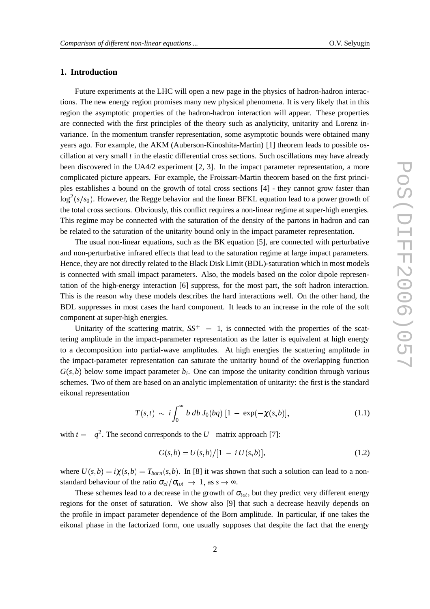## **1. Introduction**

Future experiments at the LHC will open a new page in the physics of hadron-hadron interactions. The new energy region promises many new physical phenomena. It is very likely that in this region the asymptotic properties of the hadron-hadron interaction will appear. These properties are connected with the first principles of the theory such as analyticity, unitarity and Lorenz invariance. In the momentum transfer representation, some asymptotic bounds were obtained many years ago. For example, the AKM (Auberson-Kinoshita-Martin) [1] theorem leads to possible oscillation at very small *t* in the elastic differential cross sections. Such oscillations may have already been discovered in the UA4/2 experiment [2, 3]. In the impact parameter representation, a more complicated picture appears. For example, the Froissart-Martin theorem based on the first principles establishes a bound on the growth of total cross sections [4] - they cannot grow faster than  $\log^2(s/s_0)$ . However, the Regge behavior and the linear BFKL equation lead to a power growth of the total cross sections. Obviously, this conflict requires a non-linear regime at super-high energies. This regime may be connected with the saturation of the density of the partons in hadron and can be related to the saturation of the unitarity bound only in the impact parameter representation.

The usual non-linear equations, such as the BK equation [5], are connected with perturbative and non-perturbative infrared effects that lead to the saturation regime at large impact parameters. Hence, they are not directly related to the Black Disk Limit (BDL)-saturation which in most models is connected with small impact parameters. Also, the models based on the color dipole representation of the high-energy interaction [6] suppress, for the most part, the soft hadron interaction. This is the reason why these models describes the hard interactions well. On the other hand, the BDL suppresses in most cases the hard component. It leads to an increase in the role of the soft component at super-high energies.

Unitarity of the scattering matrix,  $SS^+ = 1$ , is connected with the properties of the scattering amplitude in the impact-parameter representation as the latter is equivalent at high energy to a decomposition into partial-wave amplitudes. At high energies the scattering amplitude in the impact-parameter representation can saturate the unitarity bound of the overlapping function  $G(s, b)$  below some impact parameter  $b_i$ . One can impose the unitarity condition through various schemes. Two of them are based on an analytic implementation of unitarity: the first is the standard eikonal representation

$$
T(s,t) \sim i \int_0^\infty b \, db \, J_0(bq) \, [1 - \exp(-\chi(s,b)], \tag{1.1}
$$

with  $t = -q^2$ . The second corresponds to the *U* – matrix approach [7]:

$$
G(s,b) = U(s,b)/[1 - i U(s,b)].
$$
\n(1.2)

where  $U(s,b) = i\chi(s,b) = T_{born}(s,b)$ . In [8] it was shown that such a solution can lead to a nonstandard behaviour of the ratio  $\sigma_{el}/\sigma_{tot} \rightarrow 1$ , as  $s \rightarrow \infty$ .

These schemes lead to a decrease in the growth of  $\sigma_{tot}$ , but they predict very different energy regions for the onset of saturation. We show also [9] that such a decrease heavily depends on the profile in impact parameter dependence of the Born amplitude. In particular, if one takes the eikonal phase in the factorized form, one usually supposes that despite the fact that the energy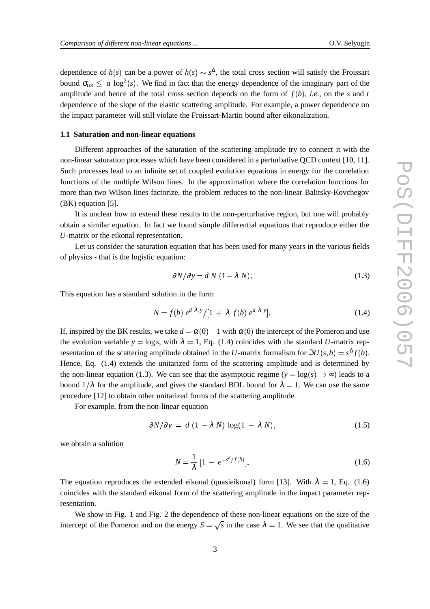dependence of  $h(s)$  can be a power of  $h(s) \sim s^{\Delta}$ , the total cross section will satisfy the Froissart bound  $\sigma_{tot} \leq a \log^2(s)$ . We find in fact that the energy dependence of the imaginary part of the amplitude and hence of the total cross section depends on the form of  $f(b)$ , *i.e.*, on the *s* and *t* dependence of the slope of the elastic scattering amplitude. For example, a power dependence on the impact parameter will still violate the Froissart-Martin bound after eikonalization.

#### **1.1 Saturation and non-linear equations**

Different approaches of the saturation of the scattering amplitude try to connect it with the non-linear saturation processes which have been considered in a perturbative QCD context [10, 11]. Such processes lead to an infinite set of coupled evolution equations in energy for the correlation functions of the multiple Wilson lines. In the approximation where the correlation functions for more than two Wilson lines factorize, the problem reduces to the non-linear Balitsky-Kovchegov (BK) equation [5].

It is unclear how to extend these results to the non-perturbative region, but one will probably obtain a similar equation. In fact we found simple differential equations that reproduce either the *U*-matrix or the eikonal representation.

Let us consider the saturation equation that has been used for many years in the various fields of physics - that is the logistic equation:

$$
\frac{\partial N}{\partial y} = d N (1 - \lambda N); \tag{1.3}
$$

This equation has a standard solution in the form

$$
N = f(b) e^{d\lambda y} / [1 + \lambda f(b) e^{d\lambda y}]. \tag{1.4}
$$

If, inspired by the BK results, we take  $d = \alpha(0) - 1$  with  $\alpha(0)$  the intercept of the Pomeron and use the evolution variable  $y = \log s$ , with  $\lambda = 1$ , Eq. (1.4) coincides with the standard *U*-matrix representation of the scattering amplitude obtained in the *U*-matrix formalism for  $\Im U(s, b) = s^{\Delta} f(b)$ . Hence, Eq. (1.4) extends the unitarized form of the scattering amplitude and is determined by the non-linear equation (1.3). We can see that the asymptotic regime  $(y = log(s) \rightarrow \infty)$  leads to a bound  $1/\lambda$  for the amplitude, and gives the standard BDL bound for  $\lambda = 1$ . We can use the same procedure [12] to obtain other unitarized forms of the scattering amplitude.

For example, from the non-linear equation

$$
\frac{\partial N}{\partial y} = d \left( 1 - \lambda N \right) \log(1 - \lambda N), \tag{1.5}
$$

we obtain a solution

$$
N = \frac{1}{\lambda} [1 - e^{-s^d/f(b)}].
$$
 (1.6)

The equation reproduces the extended eikonal (quasieikonal) form [13]. With  $\lambda = 1$ , Eq. (1.6) coincides with the standard eikonal form of the scattering amplitude in the impact parameter representation.

We show in Fig. 1 and Fig. 2 the dependence of these non-linear equations on the size of the intercept of the Pomeron and on the energy  $S = \sqrt{s}$  in the case  $\lambda = 1$ . We see that the qualitative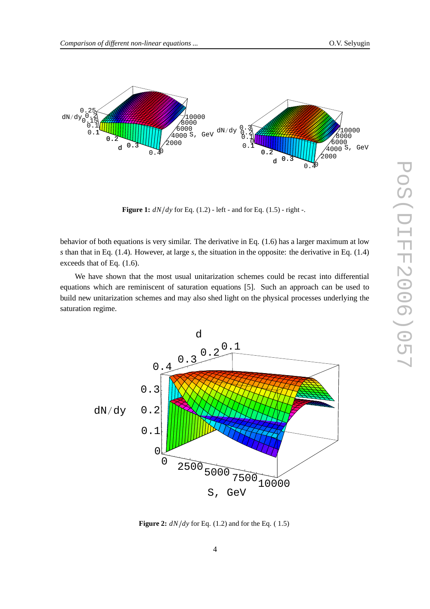

**Figure 1:**  $dN/dy$  for Eq. (1.2) - left - and for Eq. (1.5) - right -.

behavior of both equations is very similar. The derivative in Eq. (1.6) has a larger maximum at low *s* than that in Eq. (1.4). However, at large *s*, the situation in the opposite: the derivative in Eq. (1.4) exceeds that of Eq. (1.6).

We have shown that the most usual unitarization schemes could be recast into differential equations which are reminiscent of saturation equations [5]. Such an approach can be used to build new unitarization schemes and may also shed light on the physical processes underlying the saturation regime.



**Figure 2:** *dN dy* for Eq. (1.2) and for the Eq. ( 1.5)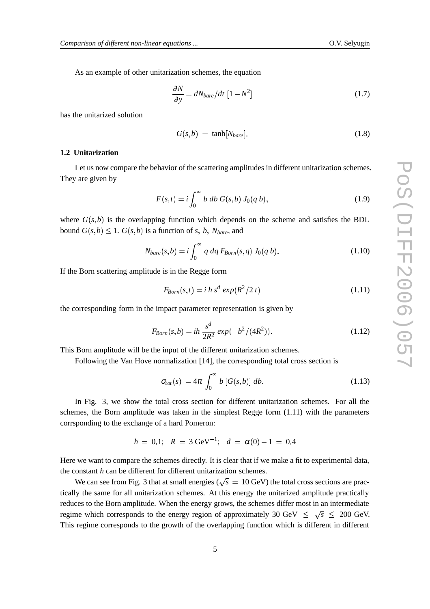As an example of other unitarization schemes, the equation

$$
\frac{\partial N}{\partial y} = dN_{bare}/dt \left[1 - N^2\right] \tag{1.7}
$$

has the unitarized solution

$$
G(s,b) = \tanh[N_{bare}]. \tag{1.8}
$$

#### **1.2 Unitarization**

Let us now compare the behavior of the scattering amplitudes in different unitarization schemes. They are given by

$$
F(s,t) = i \int_0^\infty b \, db \, G(s,b) \, J_0(q \, b), \tag{1.9}
$$

where  $G(s, b)$  is the overlapping function which depends on the scheme and satisfies the BDL bound  $G(s, b) \leq 1$ .  $G(s, b)$  is a function of *s*, *b*,  $N_{bare}$ , and

$$
N_{bare}(s,b) = i \int_0^\infty q \, dq \, F_{Born}(s,q) \, J_0(q \, b). \tag{1.10}
$$

If the Born scattering amplitude is in the Regge form

$$
F_{Born}(s, t) = i \, h \, s^d \, \exp(R^2/2 \, t) \tag{1.11}
$$

the corresponding form in the impact parameter representation is given by

$$
F_{Born}(s,b) = ih \frac{s^d}{2R^2} \exp(-b^2/(4R^2)).
$$
\n(1.12)

This Born amplitude will be the input of the different unitarization schemes.

Following the Van Hove normalization [14], the corresponding total cross section is

$$
\sigma_{tot}(s) = 4\pi \int_0^\infty b\left[G(s,b)\right] db. \tag{1.13}
$$

In Fig. 3, we show the total cross section for different unitarization schemes. For all the schemes, the Born amplitude was taken in the simplest Regge form (1.11) with the parameters corrsponding to the exchange of a hard Pomeron:

 $h = 0.1; R = 3 \text{ GeV}^{-1}; d = \alpha(0) - 1 = 0.4$ 

Here we want to compare the schemes directly. It is clear that if we make a fit to experimental data, the constant *h* can be different for different unitarization schemes.

We can see from Fig. 3 that at small energies ( $\sqrt{s}$  = 10 GeV) the total cross sections are practically the same for all unitarization schemes. At this energy the unitarized amplitude practically reduces to the Born amplitude. When the energy grows, the schemes differ most in an intermediate regime which corresponds to the energy region of approximately 30 GeV  $\leq \sqrt{s} \leq 200$  GeV. This regime corresponds to the growth of the overlapping function which is different in different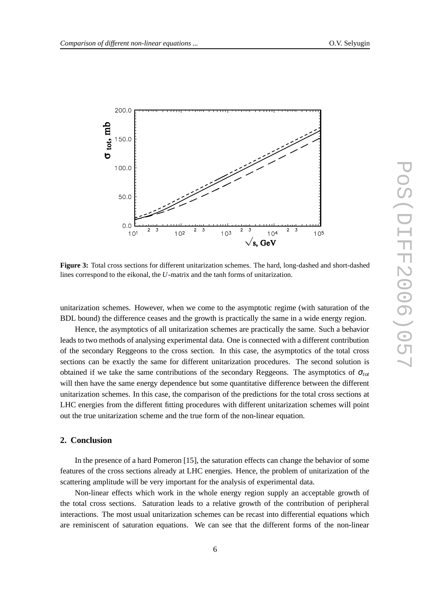

**Figure 3:** Total cross sections for different unitarization schemes. The hard, long-dashed and short-dashed lines correspond to the eikonal, the *U*-matrix and the tanh forms of unitarization.

unitarization schemes. However, when we come to the asymptotic regime (with saturation of the BDL bound) the difference ceases and the growth is practically the same in a wide energy region.

Hence, the asymptotics of all unitarization schemes are practically the same. Such a behavior leads to two methods of analysing experimental data. One is connected with a different contribution of the secondary Reggeons to the cross section. In this case, the asymptotics of the total cross sections can be exactly the same for different unitarization procedures. The second solution is obtained if we take the same contributions of the secondary Reggeons. The asymptotics of  $\sigma_{tot}$ will then have the same energy dependence but some quantitative difference between the different unitarization schemes. In this case, the comparison of the predictions for the total cross sections at LHC energies from the different fitting procedures with different unitarization schemes will point out the true unitarization scheme and the true form of the non-linear equation.

### **2. Conclusion**

In the presence of a hard Pomeron [15], the saturation effects can change the behavior of some features of the cross sections already at LHC energies. Hence, the problem of unitarization of the scattering amplitude will be very important for the analysis of experimental data.

Non-linear effects which work in the whole energy region supply an acceptable growth of the total cross sections. Saturation leads to a relative growth of the contribution of peripheral interactions. The most usual unitarization schemes can be recast into differential equations which are reminiscent of saturation equations. We can see that the different forms of the non-linear